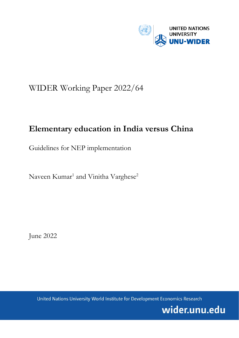

# WIDER Working Paper 2022/64

# **Elementary education in India versus China**

Guidelines for NEP implementation

Naveen Kumar<sup>1</sup> and Vinitha Varghese<sup>2</sup>

June 2022

United Nations University World Institute for Development Economics Research

wider.unu.edu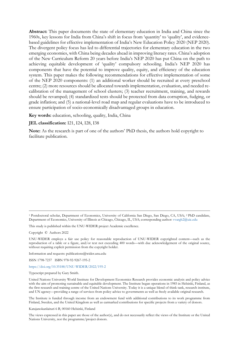**Abstract:** This paper documents the state of elementary education in India and China since the 1960s, key lessons for India from China's shift in focus from 'quantity' to 'quality', and evidencebased guidelines for effective implementation of India's New Education Policy 2020 (NEP 2020). The divergent policy focus has led to differential trajectories for elementary education in the two emerging economies, with China being decades ahead in improving literacy rates. China's adoption of the New Curriculum Reform 20 years before India's NEP 2020 has put China on the path to achieving equitable development of 'quality' compulsory schooling. India's NEP 2020 has components that have the potential to improve quality, equity, and efficiency of the education system. This paper makes the following recommendations for effective implementation of some of the NEP 2020 components: (1) an additional worker should be recruited at every preschool centre; (2) more resources should be allocated towards implementation, evaluation, and needed recalibration of the management of school clusters; (3) teacher recruitment, training, and rewards should be revamped; (4) standardized tests should be protected from data corruption, fudging, or grade inflation; and (5) a national-level road map and regular evaluations have to be introduced to ensure participation of socio-economically disadvantaged groups in education.

**Key words:** education, schooling, quality, India, China

#### **JEL classification:** I21, I24, I28, I38

**Note:** As the research is part of one of the authors' PhD thesis, the authors hold copyright to facilitate publication.

<sup>1</sup> Postdoctoral scholar, Department of Economics, University of California San Diego, San Diego, CA, USA; 2 PhD candidate, Department of Economics, University of Illinois at Chicago, Chicago, IL, USA; corresponding author: [vvargh2@uic.edu](mailto:vvargh2@uic.edu)

This study is published within the UNU-WIDER project Academic excellence.

Copyright © Authors 2022

UNU-WIDER employs a fair use policy for reasonable reproduction of UNU-WIDER copyrighted content—such as the reproduction of a table or a figure, and/or text not exceeding 400 words—with due acknowledgement of the original source, without requiring explicit permission from the copyright holder.

Information and requests: publications@wider.unu.edu

ISSN 1798-7237 ISBN 978-92-9267-195-2

## <https://doi.org/10.35188/UNU-WIDER/2022/195-2>

Typescript prepared by Gary Smith.

United Nations University World Institute for Development Economics Research provides economic analysis and policy advice with the aim of promoting sustainable and equitable development. The Institute began operations in 1985 in Helsinki, Finland, as the first research and training centre of the United Nations University. Today it is a unique blend of think tank, research institute, and UN agency—providing a range of services from policy advice to governments as well as freely available original research.

The Institute is funded through income from an endowment fund with additional contributions to its work programme from Finland, Sweden, and the United Kingdom as well as earmarked contributions for specific projects from a variety of donors.

Katajanokanlaituri 6 B, 00160 Helsinki, Finland

The views expressed in this paper are those of the author(s), and do not necessarily reflect the views of the Institute or the United Nations University, nor the programme/project donors.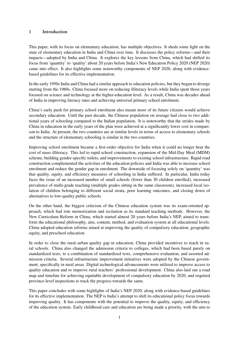## <span id="page-2-0"></span>1 Introduction

This paper, with its focus on elementary education, has multiple objectives. It sheds some light on the state of elementary education in India and China over time. It discusses the policy reforms—and their impacts—adopted by India and China. It explores the key lessons from China, which had shifted its focus from 'quantity' to 'quality' about 20 years before India's New Education Policy 2020 (NEP 2020) came into effect. It also highlights some noteworthy components of NEP 2020, along with evidencebased guidelines for its effective implementation.

In the early 1950s India and China had a similar approach to education policies, but they began to diverge starting from the 1960s. China focused more on reducing illiteracy levels while India spent those years focused on science and technology at the higher-education level. As a result, China was decades ahead of India in improving literacy rates and achieving universal primary school enrolment.

China's early push for primary school enrolment also meant more of its future citizens would achieve secondary education. Until the past decade, the Chinese population on average had close to two additional years of schooling compared to the Indian population. It is noteworthy that the strides made by China in education in the early years of the plan were achieved at a significantly lower cost in comparison to India. At present, the two countries are at similar levels in terms of access to elementary schools and the structure of elementary schooling is similar in the two countries.

Improving school enrolment became a first-order objective for India when it could no longer bear the cost of mass illiteracy. This led to rapid school construction, expansion of the Mid-Day Meal (MDM) scheme, building gender-specific toilets, and improvements to existing school infrastructure. Rapid road construction complemented the activities of the education policies and India was able to increase school enrolment and reduce the gender gap in enrolment. The downside of focusing solely on 'quantity' was that quality, equity, and efficiency measures of schooling in India suffered. In particular, India today faces the issue of an increased number of small schools (fewer than 30 children enrolled), increased prevalence of multi-grade teaching (multiple grades sitting in the same classroom), increased local isolation of children belonging to different social strata, poor learning outcomes, and closing down of alternatives to low-quality public schools.

On the other hand, the biggest criticism of the Chinese education system was its exam-oriented approach, which had rote memorization and recitation as its standard teaching methods. However, the New Curriculum Reform in China, which started almost 20 years before India's NEP, aimed to transform the educational philosophy, aim, content, method, and evaluation system at all educational levels. China adopted education reforms aimed at improving the quality of compulsory education, geographic equity, and preschool education.

In order to close the rural–urban quality gap in education, China provided incentives to teach in rural schools. China also changed the admission criteria to colleges, which had been based purely on standardized tests, to a combination of standardized tests, comprehensive evaluation, and assorted admission criteria. Several infrastructure improvement initiatives were adopted by the Chinese government, specifically in rural areas. Digital technological advancements were utilized to improve access to quality education and to improve rural teachers' professional development. China also laid out a road map and timeline for achieving equitable development of compulsory education by 2020, and required province-level inspections to track the progress towards the same.

This paper concludes with some highlights of India's NEP 2020, along with evidence-based guidelines for its effective implementation. The NEP is India's attempt to shift its educational policy focus towards improving quality. It has components with the potential to improve the quality, equity, and efficiency of the education system. Early childhood care and education are being made a priority, with the aim to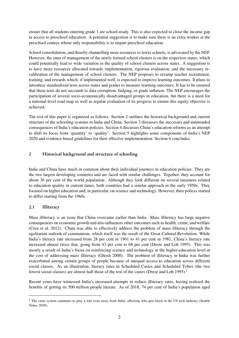ensure that all students entering grade 1 are school-ready. This is also expected to close the income gap in access to preschool education. A potential suggestion is to make sure there is an extra worker at the preschool centres whose only responsibility is to impart preschool education.

School consolidation, and thereby channelling more resources to fewer schools, is advocated by the NEP. However, the onus of management of the newly formed school clusters is on the respective states, which could potentially lead to wide variation in the quality of school clusters across states. A suggestion is to have more resources allocated towards implementation, rigorous evaluation, and the necessary recalibration of the management of school clusters. The NEP proposes to revamp teacher recruitment, training, and rewards which, if implemented well, is expected to improve learning outcomes. It plans to introduce standardized tests across states and grades to measure learning outcomes. It has to be ensured that these tests do not succumb to data corruption, fudging, or grade inflation. The NEP encourages the participation of several socio-economically disadvantaged groups in education, but there is a need for a national-level road map as well as regular evaluation of its progress to ensure this equity objective is achieved.

The rest of this paper is organized as follows. Section 2 outlines the historical background and current structure of the schooling systems in India and China. Section 3 discusses the successes and unintended consequences of India's education policies. Section 4 discusses China's education reforms as an attempt to shift its focus from 'quantity' to 'quality'. Section 5 highlights some components of India's NEP 2020 and evidence-based guidelines for their effective implementation. Section 6 concludes.

# 2 Historical background and structure of schooling

India and China have much in common about their individual journeys in education policies. They are the two largest developing countries and are faced with similar challenges. Together, they account for about 36 per cent of the world population. Although they look different on several measures related to education quality in current times, both countries had a similar approach in the early 1950s. They focused on higher education and, in particular, on science and technology. However, their polices started to differ starting from the 1960s.

# 2.1 Illiteracy

Mass illiteracy is an issue that China overcame earlier than India. Mass illiteracy has large negative consequences on economic growth and also influences other outcomes such as health, crime, and welfare [\(Cree et al.](#page-16-0) [2012\)](#page-16-0). China was able to effectively address the problem of mass illiteracy through the egalitarian outlook of communism, which itself was the result of the Great Cultural Revolution. While India's literacy rate increased from 28 per cent in 1961 to 41 per cent in 1981, China's literacy rate increased almost twice that, going from 43 per cent to 68 per cent [\(Dreze and Loh](#page-16-1) [1995\)](#page-16-1). This was mostly a result of India's focus on reinforcing science and technology at the higher-education level at the cost of addressing mass illiteracy [\(Ghosh](#page-16-2) [2000\)](#page-16-2). The problem of illiteracy in India was further exacerbated among certain groups of people because of unequal access to education across different social classes. As an illustration, literacy rates in Scheduled Castes and Scheduled Tribes (the two lowest social classes) are almost half those of the rest of the castes [\(Dreze and Loh](#page-16-1) [1995\)](#page-16-1).<sup>[1](#page-2-0)</sup>

Recent years have witnessed India's increased attempts to reduce illiteracy rates, having realized the benefits of getting its 500 million people literate. As of 2018, 74 per cent of India's population aged

<sup>&</sup>lt;sup>1</sup> The caste system continues to play a role even away from India, affecting who gets hired in the US tech industry [\(Seattle](#page-18-0) [Times](#page-18-0) [2020\)](#page-18-0).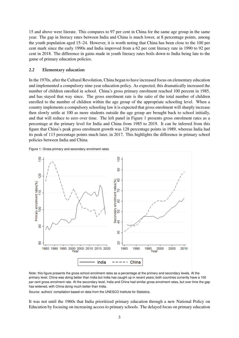15 and above were literate. This compares to 97 per cent in China for the same age group in the same year. The gap in literacy rates between India and China is much lower, at 8 percentage points, among the youth population aged 15–24. However, it is worth noting that China has been close to the 100 per cent mark since the early 1990s and India improved from a 62 per cent literacy rate in 1990 to 92 per cent in 2018. The difference in gains made in youth literacy rates boils down to India being late to the game of primary education policies.

### 2.2 Elementary education

In the 1970s, after the Cultural Revolution, China began to have increased focus on elementary education and implemented a compulsory nine-year education policy. As expected, this dramatically increased the number of children enrolled in school. China's gross primary enrolment reached 100 percent in 1985, and has stayed that way since. The gross enrolment rate is the ratio of the total number of children enrolled to the number of children within the age group of the appropriate schooling level. When a country implements a compulsory schooling law it is expected that gross enrolment will sharply increase then slowly settle at 100 as more students outside the age group are brought back to school initially, and that will reduce to zero over time. The left panel in Figure [1](#page-4-0) presents gross enrolment rates as a percentage at the primary level for India and China from 1985 to 2019. It can be inferred from this figure that China's peak gross enrolment growth was 128 percentage points in 1989, whereas India had its peak of 113 percentage points much later, in 2017. This highlights the difference in primary school policies between India and China.

<span id="page-4-0"></span>



Note: this figure presents the gross school enrolment rates as a percentage at the primary and secondary levels. At the primary level, China was doing better than India but India has caught up in recent years; both countries currently have a 100 per cent gross enrolment rate. At the secondary level, India and China had similar gross enrolment rates, but over time the gap has widened, with China doing much better than India.

Source: authors' compilation based on data from the UNESCO Institute for Statistics.

It was not until the 1960s that India prioritized primary education through a new National Policy on Education by focusing on increasing access to primary schools. The delayed focus on primary education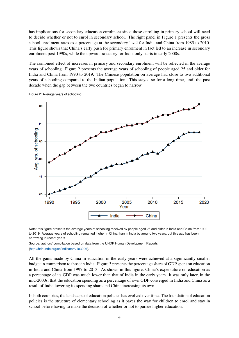has implications for secondary education enrolment since those enrolling in primary school will need to decide whether or not to enrol in secondary school. The right panel in Figure [1](#page-4-0) presents the gross school enrolment rates as a percentage at the secondary level for India and China from 1985 to 2010. This figure shows that China's early push for primary enrolment in fact led to an increase in secondary enrolment post-1990s, while the upward trajectory for India only starts in early 2000s.

The combined effect of increases in primary and secondary enrolment will be reflected in the average years of schooling. Figure [2](#page-5-0) presents the average years of schooling of people aged 25 and older for India and China from 1990 to 2019. The Chinese population on average had close to two additional years of schooling compared to the Indian population. This stayed so for a long time, until the past decade when the gap between the two countries began to narrow.



<span id="page-5-0"></span>Figure 2: Average years of schooling

Note: this figure presents the average years of schooling received by people aged 25 and older in India and China from 1990 to 2019. Average years of schooling remained higher in China than in India by around two years, but this gap has been narrowing in recent years.

Source: authors' compilation based on data from the UNDP Human Development Reports [\(http://hdr.undp.org/en/indicators/103006\)](http://hdr.undp.org/en/indicators/103006).

All the gains made by China in education in the early years were achieved at a significantly smaller budget in comparison to those in India. Figure [3](#page-6-0) presents the percentage share of GDP spent on education in India and China from 1997 to 2013. As shown in this figure, China's expenditure on education as a percentage of its GDP was much lower than that of India in the early years. It was only later, in the mid-2000s, that the education spending as a percentage of own GDP converged in India and China as a result of India lowering its spending share and China increasing its own.

In both countries, the landscape of education policies has evolved over time. The foundation of education policies is the structure of elementary schooling as it paves the way for children to enrol and stay in school before having to make the decision of whether or not to pursue higher education.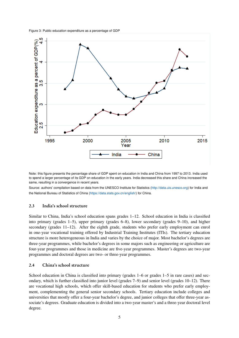<span id="page-6-0"></span>Figure 3: Public education expenditure as a percentage of GDP



Note: this figure presents the percentage share of GDP spent on education in India and China from 1997 to 2013. India used to spend a larger percentage of its GDP on education in the early years. India decreased this share and China increased the same, resulting in a convergence in recent years.

Source: authors' compilation based on data from the UNESCO Institute for Statistics [\(http://data.uis.unesco.org\)](http://data.uis.unesco.org) for India and the National Bureau of Statistics of China [\(https://data.stats.gov.cn/english/\)](https://data.stats.gov.cn/english/) for China.

## 2.3 India's school structure

Similar to China, India's school education spans grades 1–12. School education in India is classified into primary (grades 1–5), upper primary (grades 6–8), lower secondary (grades 9–10), and higher secondary (grades 11–12). After the eighth grade, students who prefer early employment can enrol in one-year vocational training offered by Industrial Training Institutes (ITIs). The tertiary education structure is more heterogeneous in India and varies by the choice of major. Most bachelor's degrees are three-year programmes, while bachelor's degrees in some majors such as engineering or agriculture are four-year programmes and those in medicine are five-year programmes. Master's degrees are two-year programmes and doctoral degrees are two- or three-year programmes.

# 2.4 China's school structure

School education in China is classified into primary (grades  $1-6$  or grades  $1-5$  in rare cases) and secondary, which is further classified into junior level (grades 7–9) and senior level (grades 10–12). There are vocational high schools, which offer skill-based education for students who prefer early employment, complementing the general senior secondary schools. Tertiary education include colleges and universities that mostly offer a four-year bachelor's degree, and junior colleges that offer three-year associate's degrees. Graduate education is divided into a two-year master's and a three-year doctoral level degree.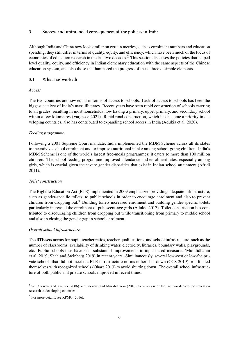## 3 Success and unintended consequences of the policies in India

Although India and China now look similar on certain metrics, such as enrolment numbers and education spending, they still differ in terms of quality, equity, and efficiency, which have been much of the focus of economics of education research in the last two decades.[2](#page-2-0) This section discusses the policies that helped level quality, equity, and efficiency in Indian elementary education with the same aspects of the Chinese education system, and also those that hampered the progress of these three desirable elements.

## 3.1 What has worked?

## *Access*

The two countries are now equal in terms of access to schools. Lack of access to schools has been the biggest catalyst of India's mass illiteracy. Recent years have seen rapid construction of schools catering to all grades, resulting in most households now having a primary, upper primary, and secondary school within a few kilometres [\(Varghese](#page-18-1) [2021\)](#page-18-1). Rapid road construction, which has become a priority in developing countries, also has contributed to expanding school access in India [\(Adukia et al.](#page-16-3) [2020\)](#page-16-3).

## *Feeding programme*

Following a 2001 Supreme Court mandate, India implemented the MDM Scheme across all its states to incentivize school enrolment and to improve nutritional intake among school-going children. India's MDM Scheme is one of the world's largest free-meals programmes; it caters to more than 100 million children. The school feeding programme improved attendance and enrolment rates, especially among girls, which is crucial given the severe gender disparities that exist in Indian school attainment [\(Afridi](#page-16-4) [2011\)](#page-16-4).

## *Toilet construction*

The Right to Education Act (RTE) implemented in 2009 emphasized providing adequate infrastructure, such as gender-specific toilets, to public schools in order to encourage enrolment and also to prevent children from dropping out.<sup>[3](#page-2-0)</sup> Building toilets increased enrolment and building gender-specific toilets particularly increased the enrolment of pubescent-age girls [\(Adukia](#page-16-5) [2017\)](#page-16-5). Toilet construction has contributed to discouraging children from dropping out while transitioning from primary to middle school and also in closing the gender gap in school enrolment.

## *Overall school infrastructure*

The RTE sets norms for pupil–teacher ratios, teacher qualifications, and school infrastructure, such as the number of classrooms, availability of drinking water, electricity, libraries, boundary walls, playgrounds, etc. Public schools thus have seen substantial improvements in input-based measures [\(Muralidharan](#page-17-0) [et al.](#page-17-0) [2019;](#page-17-0) [Shah and Steinberg](#page-18-2) [2019\)](#page-18-2) in recent years. Simultaneously, several low-cost or low-fee private schools that did not meet the RTE infrastructure norms either shut down [\(CCS](#page-16-6) [2019\)](#page-16-6) or affiliated themselves with recognized schools [\(Ohara](#page-17-1) [2013\)](#page-17-1) to avoid shutting down. The overall school infrastructure of both public and private schools improved in recent times.

<sup>&</sup>lt;sup>2</sup> See [Glewwe and Kremer](#page-16-7) [\(2006\)](#page-16-7) and [Glewwe and Muralidharan](#page-17-2) [\(2016\)](#page-17-2) for a review of the last two decades of education research in developing countries.

<sup>3</sup> For more details, see [KPMG](#page-17-3) [\(2016\)](#page-17-3).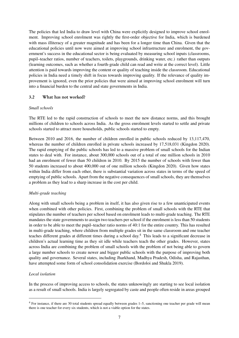The policies that led India to draw level with China were explicitly designed to improve school enrolment. Improving school enrolment was rightly the first-order objective for India, which is burdened with mass illiteracy of a greater magnitude and has been for a longer time than China. Given that the educational policies until now were aimed at improving school infrastructure and enrolment, the government's success in the educational sector is being evaluated by measuring school inputs (classrooms, pupil–teacher ratios, number of teachers, toilets, playgrounds, drinking water, etc.) rather than outputs (learning outcomes, such as whether a fourth-grade child can read and write at the correct level). Little attention is paid towards improving the content or quality of teaching inside the classroom. Educational policies in India need a timely shift in focus towards improving quality. If the relevance of quality improvement is ignored, even the prior policies that were aimed at improving school enrolment will turn into a financial burden to the central and state governments in India.

## 3.2 What has not worked?

## *Small schools*

The RTE led to the rapid construction of schools to meet the new distance norms, and this brought millions of children to schools across India. As the gross enrolment levels started to settle and private schools started to attract more households, public schools started to empty.

Between 2010 and 2016, the number of children enrolled in public schools reduced by 13,117,470, whereas the number of children enrolled in private schools increased by 17,518,031 [\(Kingdon](#page-17-4) [2020\)](#page-17-4). The rapid emptying of the public schools has led to a massive problem of small schools for the Indian states to deal with. For instance, about 300,000 schools out of a total of one million schools in 2010 had an enrolment of fewer than 50 children in 2010. By 2015 the number of schools with fewer than 50 students increased to about 400,000 out of one million schools [\(Kingdon](#page-17-4) [2020\)](#page-17-4). Given how states within India differ from each other, there is substantial variation across states in terms of the speed of emptying of public schools. Apart from the negative consequences of small schools, they are themselves a problem as they lead to a sharp increase in the cost per child.

## *Multi-grade teaching*

Along with small schools being a problem in itself, it has also given rise to a few unanticipated events when combined with other policies. First, combining the problem of small schools with the RTE that stipulates the number of teachers per school based on enrolment leads to multi-grade teaching. The RTE mandates the state governments to assign two teachers per school if the enrolment is less than 50 students in order to be able to meet the pupil–teacher ratio norms of 40:1 for the entire country. This has resulted in multi-grade teaching, where children from multiple grades sit in the same classroom and one teacher teaches different grades at different times during a school day.[4](#page-2-0) This leads to a significant decrease in children's actual learning time as they sit idle while teachers teach the other grades. However, states across India are combining the problem of small schools with the problem of not being able to govern a large number schools to create newer and bigger public schools with the purpose of improving both quality and governance. Several states, including Jharkhand, Madhya Pradesh, Odisha, and Rajasthan, have attempted some form of school consolidation exercise [\(Bordoloi and Shukla](#page-16-8) [2019\)](#page-16-8).

## *Local isolation*

In the process of improving access to schools, the states unknowingly are starting to see local isolation as a result of small schools. India is largely segregated by caste and people often reside in areas grouped

<sup>4</sup> For instance, if there are 30 total students spread equally between grades 1–5, sanctioning one teacher per grade will mean there is one teacher for every six students, which is not a viable option for the states.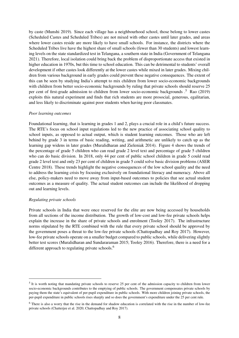by caste [\(Munshi](#page-17-5) [2019\)](#page-17-5). Since each village has a neighbourhood school, those belong to lower castes (Scheduled Castes and Scheduled Tribes) are not mixed with other castes until later grades, and areas where lower castes reside are more likely to have small schools. For instance, the districts where the Scheduled Tribes live have the highest share of small schools (fewer than 30 students) and lowest learning levels on the state standardized test in Telangana, a southern state in India [\(Government of Telangana](#page-17-6) [2021\)](#page-17-6). Therefore, local isolation could bring back the problem of disproportionate access that existed in higher education in 1970s, but this time to school education. This can be detrimental to students' overall development if other castes look differently at the lower castes while mixed in later grades. Mixing children from various background in early grades could prevent these negative consequences. The extent of this can be seen by studying India's attempt to mix children from lower socio-economic backgrounds with children from better socio-economic backgrounds by ruling that private schools should reserve 25 per cent of first-grade admission to children from lower socio-economic backgrounds .[5](#page-2-0) [Rao](#page-18-3) [\(2019\)](#page-18-3) exploits this natural experiment and finds that rich students are more prosocial, generous, egalitarian, and less likely to discriminate against poor students when having poor classmates.

#### *Poor learning outcomes*

Foundational learning, that is learning in grades 1 and 2, plays a crucial role in a child's future success. The RTE's focus on school input regulations led to the new practice of associating school quality to school inputs, as opposed to actual output, which is student learning outcomes. Those who are left behind by grade 3 in terms of basic reading, writing, and arithmetic are unlikely to catch up as the learning gap widens in later grades [\(Muralidharan and Zieleniak](#page-17-7) [2014\)](#page-17-7). Figure [4](#page-10-0) shows the trends of the percentage of grade 5 children who can read grade 2 level text and percentage of grade 5 children who can do basic division. In 2018, only 44 per cent of public school children in grade 5 could read grade 2 level text and only 23 per cent of children in grade 5 could solve basic division problems [\(ASER](#page-16-9) [Centre](#page-16-9) [2018\)](#page-16-9). These trends highlight the negative consequences of the low school quality and the need to address the learning crisis by focusing exclusively on foundational literacy and numeracy. Above all else, policy-makers need to move away from input-based outcomes to policies that see actual student outcomes as a measure of quality. The actual student outcomes can include the likelihood of dropping out and learning levels.

#### *Regulating private schools*

Private schools in India that were once reserved for the elite are now being accessed by households from all sections of the income distribution. The growth of low-cost and low-fee private schools helps explain the increase in the share of private schools and enrolment [\(Tooley](#page-18-4) [2017\)](#page-18-4). The infrastructure norms stipulated by the RTE combined with the rule that every private school should be approved by the government poses a threat to the low-fee private schools [\(Chattopadhay and Roy](#page-16-10) [2017\)](#page-16-10). However, low-fee private schools operate on a smaller budget compared to public schools, while delivering slightly better test scores [\(Muralidharan and Sundararaman](#page-17-8) [2015;](#page-17-8) [Tooley](#page-18-5) [2016\)](#page-18-5). Therefore, there is a need for a different approach to regulating private schools.<sup>[6](#page-2-0)</sup>

 $<sup>5</sup>$  It is worth noting that mandating private schools to reserve 25 per cent of the admission capacity to children from lower</sup> socio-economic backgrounds contributes to the emptying of public schools. The government compensates private schools by paying them the state's equivalent of per-pupil expenditure in public schools. With more children joining private schools, the per-pupil expenditure in public schools rises sharply and so does the government's expenditure under the 25 per cent rule.

<sup>6</sup> There is also a worry that the rise in the demand for shadow education is correlated with the rise in the number of low-fee private schools [\(Chatterjee et al.](#page-16-11) [2020;](#page-16-11) [Chattopadhay and Roy](#page-16-10) [2017\)](#page-16-10).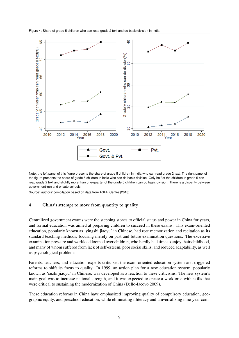<span id="page-10-0"></span>



Note: the left panel of this figure presents the share of grade 5 children in India who can read grade 2 text. The right panel of the figure presents the share of grade 5 children in India who can do basic division. Only half of the children in grade 5 can read grade 2 text and slightly more than one-quarter of the grade 5 children can do basic division. There is a disparity between government-run and private schools.

Source: authors' compilation based on data from [ASER Centre](#page-16-9) [\(2018\)](#page-16-9).

#### 4 China's attempt to move from quantity to quality

Centralized government exams were the stepping stones to official status and power in China for years, and formal education was aimed at preparing children to succeed in these exams. This exam-oriented education, popularly known as 'yingshi jiaoyu' in Chinese, had rote memorization and recitation as its standard teaching methods, focusing merely on past and future examination questions. The excessive examination pressure and workload loomed over children, who hardly had time to enjoy their childhood, and many of whom suffered from lack of self-esteem, poor social skills, and reduced adaptability, as well as psychological problems.

Parents, teachers, and education experts criticized the exam-oriented education system and triggered reforms to shift its focus to quality. In 1999, an action plan for a new education system, popularly known as 'suzhi jiaoyu' in Chinese, was developed as a reaction to these criticisms. The new system's main goal was to increase national strength, and it was expected to create a workforce with skills that were critical to sustaining the modernization of China [\(Dello-Iacovo](#page-16-12) [2009\)](#page-16-12).

These education reforms in China have emphasized improving quality of compulsory education, geographic equity, and preschool education, while eliminating illiteracy and universalizing nine-year com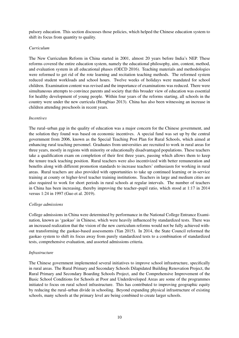pulsory education. This section discusses those policies, which helped the Chinese education system to shift its focus from quantity to quality.

### *Curriculum*

The New Curriculum Reform in China started in 2001, almost 20 years before India's NEP. These reforms covered the entire education system, namely the educational philosophy, aim, content, method, and evaluation system in all educational phases [\(OECD](#page-17-9) [2016\)](#page-17-9). Teaching materials and methodologies were reformed to get rid of the rote learning and recitation teaching methods. The reformed system reduced student workloads and school hours. Twelve weeks of holidays were mandated for school children. Examination content was revised and the importance of examinations was reduced. There were simultaneous attempts to convince parents and society that this broader view of education was essential for healthy development of young people. Within four years of the reforms starting, all schools in the country were under the new curricula [\(Hongbiao](#page-17-10) [2013\)](#page-17-10). China has also been witnessing an increase in children attending preschools in recent years.

### *Incentives*

The rural–urban gap in the quality of education was a major concern for the Chinese government, and the solution they found was based on economic incentives. A special fund was set up by the central government from 2006, known as the Special Teaching Post Plan for Rural Schools, which aimed at enhancing rural teaching personnel. Graduates from universities are recruited to work in rural areas for three years, mostly in regions with minority or educationally disadvantaged populations. These teachers take a qualification exam on completion of their first three years, passing which allows them to keep the tenure track teaching position. Rural teachers were also incentivized with better remuneration and benefits along with different promotion standards to increase teachers' enthusiasm for working in rural areas. Rural teachers are also provided with opportunities to take up continued learning or in-service training at county or higher-level teacher training institutions. Teachers in large and medium cities are also required to work for short periods in rural schools at regular intervals. The number of teachers in China has been increasing, thereby improving the teacher–pupil ratio, which stood at 1:17 in 2014 versus 1:24 in 1997 [\(Guo et al.](#page-17-11) [2019\)](#page-17-11).

## *College admissions*

College admissions in China were determined by performance in the National College Entrance Examination, known as 'gaokao' in Chinese, which were heavily influenced by standardized tests. There was an increased realization that the vision of the new curriculum reforms would not be fully achieved without transforming the gaokao-based assessments [\(Yan](#page-18-6) [2015\)](#page-18-6). In 2014, the State Council reformed the gaokao system to shift its focus away from purely standardized tests to a combination of standardized tests, comprehensive evaluation, and assorted admissions criteria.

## *Infrastructure*

The Chinese government implemented several initiatives to improve school infrastructure, specifically in rural areas. The Rural Primary and Secondary Schools Dilapidated Building Renovation Project, the Rural Primary and Secondary Boarding Schools Project, and the Comprehensive Improvement of the Basic School Conditions for Schools at Poor and Underdeveloped Areas are some of the programmes initiated to focus on rural school infrastructure. This has contributed to improving geographic equity by reducing the rural–urban divide in schooling. Beyond expanding physical infrastructure of existing schools, many schools at the primary level are being combined to create larger schools.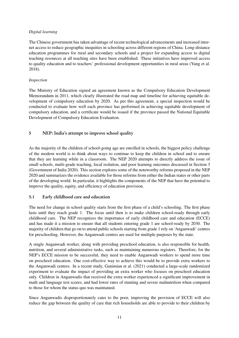# *Digital learning*

The Chinese government has taken advantage of recent technological advancements and increased internet access to reduce geographic inequities in schooling across different regions of China. Long-distance education programmes for rural and secondary schools and a project for expanding access to digital teaching resources at all teaching sites have been established. These initiatives have improved access to quality education and to teachers' professional development opportunities in rural areas [\(Yang et al.](#page-18-7) [2018\)](#page-18-7).

## *Inspection*

The Ministry of Education signed an agreement known as the Compulsory Education Development Memorandum in 2011, which clearly illustrated the road map and timeline for achieving equitable development of compulsory education by 2020. As per this agreement, a special inspection would be conducted to evaluate how well each province has performed in achieving equitable development of compulsory education, and a certificate would be issued if the province passed the National Equitable Development of Compulsory Education Evaluation.

# 5 NEP: India's attempt to improve school quality

As the majority of the children of school-going age are enrolled in schools, the biggest policy challenge of the modern world is to think about ways to continue to keep the children in school and to ensure that they are learning while in a classroom. The NEP 2020 attempts to directly address the issue of small schools, multi-grade teaching, local isolation, and poor learning outcomes discussed in Section 3 [\(Government of India](#page-17-12) [2020\)](#page-17-12). This section explores some of the noteworthy reforms proposed in the NEP 2020 and summarizes the evidence available for those reforms from either the Indian states or other parts of the developing world. In particular, it highlights the components of the NEP that have the potential to improve the quality, equity, and efficiency of education provision.

# 5.1 Early childhood care and education

The need for change in school quality starts from the first phase of a child's schooling. The first phase lasts until they reach grade 1. The focus until then is to make children school-ready through early childhood care. The NEP recognizes the importance of early childhood care and education (ECCE) and has made it a mission to ensure that all students entering grade 1 are school-ready by 2030. The majority of children that go on to attend public schools starting from grade 1 rely on 'Anganwadi' centres for preschooling. However, the Anganwadi centres are used for multiple purposes by the state.

A single Anganwadi worker, along with providing preschool education, is also responsible for health, nutrition, and several administrative tasks, such as maintaining numerous registers. Therefore, for the NEP's ECCE mission to be successful, they need to enable Anganwadi workers to spend more time on preschool education. One cost-effective way to achieve this would be to provide extra workers to the Anganwadi centres. In a recent study, [Ganimian et al.](#page-16-13) [\(2021\)](#page-16-13) conducted a large-scale randomized experiment to evaluate the impact of providing an extra worker who focuses on preschool education only. Children in Anganwadis that received the extra worker experienced a significant improvement in math and language test scores, and had lower rates of stunting and severe malnutrition when compared to those for whom the status quo was maintained.

Since Anganwadis disproportionately cater to the poor, improving the provision of ECCE will also reduce the gap between the quality of care that rich households are able to provide to their children by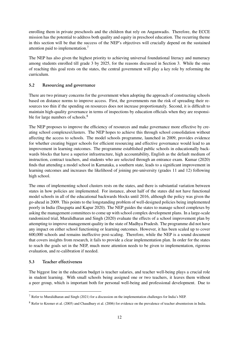enrolling them in private preschools and the children that rely on Anganwadis. Therefore, the ECCE mission has the potential to address both quality and equity in preschool education. The recurring theme in this section will be that the success of the NEP's objectives will crucially depend on the sustained attention paid to implementation.[7](#page-2-0)

The NEP has also given the highest priority to achieving universal foundational literacy and numeracy among students enrolled till grade 3 by 2025, for the reasons discussed in Section 3. While the onus of reaching this goal rests on the states, the central government will play a key role by reforming the curriculum.

# 5.2 Resourcing and governance

There are two primary concerns for the government when adopting the approach of constructing schools based on distance norms to improve access. First, the governments run the risk of spreading their resources too thin if the spending on resources does not increase proportionately. Second, it is difficult to maintain high-quality governance in terms of inspections by education officials when they are responsi-ble for large numbers of schools.<sup>[8](#page-2-0)</sup>

The NEP proposes to improve the efficiency of resources and make governance more effective by creating school complexes/clusters. The NEP hopes to achieve this through school consolidation without affecting the access to schools. The model schools programme, launched in 2009, provides evidence for whether creating bigger schools for efficient resourcing and effective governance would lead to an improvement in learning outcomes. The programme established public schools in educationally backwards blocks that have a superior infrastructure, high accountability, English as the default medium of instruction, contract teachers, and students who are selected through an entrance exam. [Kumar](#page-17-13) [\(2020\)](#page-17-13) finds that attending a model school in Karnataka, a southern state, leads to a significant improvement in learning outcomes and increases the likelihood of joining pre-university (grades 11 and 12) following high school.

The onus of implementing school clusters rests on the states, and there is substantial variation between states in how policies are implemented. For instance, about half of the states did not have functional model schools in all of the educational backwards blocks until 2016, although the policy was given the go-ahead in 2009. This points to the longstanding problem of well-designed policies being implemented poorly in India [\(Dasgupta and Kapur](#page-16-14) [2020\)](#page-16-14). The NEP guides the states to manage school complexes by asking the management committees to come up with school complex development plans. In a large-scale randomized trial, [Muralidharan and Singh](#page-17-14) [\(2020\)](#page-17-14) evaluate the effects of a school improvement plan by attempting to improve management quality in the state of Madhya Pradesh. The programme did not have any impact on either school functioning or learning outcomes. However, it has been scaled up to cover 600,000 schools and remains ineffective post-scaling. Therefore, while the NEP is a sound document that covers insights from research, it fails to provide a clear implementation plan. In order for the states to reach the goals set in the NEP, much more attention needs to be given to implementation, rigorous evaluation, and re-calibration if needed.

# 5.3 Teacher effectiveness

The biggest line in the education budget is teacher salaries, and teacher well-being plays a crucial role in student learning. With small schools being assigned one or two teachers, it leaves them without a peer group, which is important both for personal well-being and professional development. Due to

<sup>7</sup> Refer to [Muralidharan and Singh](#page-17-15) [\(2021\)](#page-17-15) for a discussion on the implementation challenges for India's NEP.

<sup>8</sup> Refer to [Kremer et al.](#page-17-16) [\(2005\)](#page-17-16) and [Chaudhury et al.](#page-16-15) [\(2006\)](#page-16-15) for evidence on the prevalence of teacher absenteeism in India.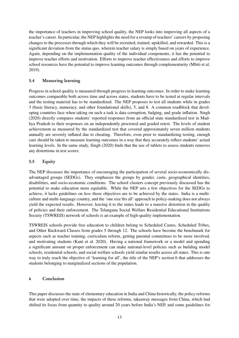the importance of teachers in improving school quality, the NEP looks into improving all aspects of a teacher's career. In particular, the NEP highlights the need for a revamp of teachers' careers by proposing changes to the processes through which they will be recruited, trained, upskilled, and rewarded. This is a significant deviation from the status quo, wherein teacher salary is simply based on years of experience. Again, depending on the implementation quality of the individual components, it has the potential to improve teacher efforts and motivation. Efforts to improve teacher effectiveness and efforts to improve school resources have the potential to improve learning outcomes through complementarity [\(Mbiti et al.](#page-17-17) [2019\)](#page-17-17).

# 5.4 Measuring learning

Progress in school quality is measured through progress in learning outcomes. In order to make learning outcomes comparable both across time and across states, students have to be tested at regular intervals and the testing material has to be standardized. The NEP proposes to test all students while in grades 3 (basic literacy, numeracy, and other foundational skills), 5, and 8. A common roadblock that developing countries face when taking on such a task is data corruption, fudging, and grade inflation. [Singh](#page-18-8) [\(2020\)](#page-18-8) directly compares students' reported responses from an official state standardized test in Madhya Pradesh to their responses on an independently proctored and graded retest. The levels of student achievement as measured by the standardized test that covered approximately seven million students annually are severely inflated due to cheating. Therefore, even prior to standardizing testing, enough care should be taken to measure learning outcomes in a way that they accurately reflect students' actual learning levels. In the same study, [Singh](#page-18-8) [\(2020\)](#page-18-8) finds that the use of tablets to assess students removes any distortions in test scores.

# 5.5 Equity

The NEP discusses the importance of encouraging the participation of several socio-economically disadvantaged groups (SEDGs). They emphasize the groups by gender, caste, geographical identities, disabilities, and socio-economic conditions. The school clusters concept previously discussed has the potential to make education more equitable. While the NEP sets a few objectives for the SEDGs to achieve, it lacks guidelines on *how* those objectives are to be achieved by the states. India is a multiculture and multi-language country, and the 'one size fits all' approach to policy-making does not always yield the expected results. However, leaving it to the states leads to a massive distortion in the quality of policies and their enforcement. The Telangana Social Welfare Residential Educational Institutions Society (TSWREIS) network of schools is an example of high-quality implementation.

TSWREIS schools provide free education to children belong to Scheduled Castes, Scheduled Tribes, and Other Backward Classes from grades 5 through 12. The schools have become the benchmark for aspects such as teacher training, curriculum reform, getting parental committees to be more involved, and motivating students [\(Kant et al.](#page-17-18) [2020\)](#page-17-18). Having a national framework or a model and spending a significant amount on proper enforcement can make national-level policies such as building model schools, residential schools, and social welfare schools yield similar results across all states. This is one way to truly reach the objective of 'learning for all', the title of the NEP's section 6 that addresses the students belonging to marginalized sections of the population.

# 6 Conclusion

This paper discusses the state of elementary education in India and China historically, the policy reforms that were adopted over time, the impacts of these reforms, takeaway messages from China, which had shifted its focus from quantity to quality around 20 years before India's NEP, and some guidelines for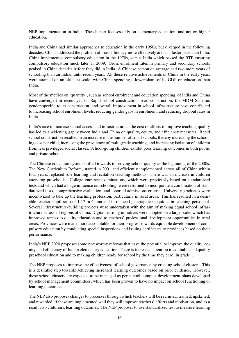NEP implementation in India. The chapter focuses only on elementary education, and not on higher education.

India and China had similar approaches to education in the early 1950s, but diverged in the following decades. China addressed the problem of mass illiteracy more effectively and at a faster pace than India. China implemented compulsory education in the 1970s, versus India which passed the RTE ensuring compulsory education much later, in 2009. Gross enrolment rates in primary and secondary schools peaked in China decades before they did in India. A Chinese person on average had two more years of schooling than an Indian until recent years. All these relative achievements of China in the early years were attained on an efficient scale, with China spending a lower share of its GDP on education than India.

Most of the metrics on 'quantity', such as school enrolment and education spending, of India and China have converged in recent years. Rapid school construction, road construction, the MDM Scheme, gender-specific toilet construction, and overall improvement in school infrastructure have contributed to increasing school enrolment levels, reducing gender gaps in enrolment, and reducing dropout rates in India.

India's race to increase school access and infrastructure at the cost of efforts to improve teaching quality has led to a widening gap between India and China on quality, equity, and efficiency measures. Rapid school construction resulted in an increase in the number of small schools, thereby increasing the schooling cost per child, increasing the prevalence of multi-grade teaching, and increasing isolation of children from less privileged social classes. School-going children exhibit poor learning outcomes in both public and private schools.

The Chinese education system shifted towards improving school quality at the beginning of the 2000s. The New Curriculum Reform, started in 2001 and efficiently implemented across all of China within four years, replaced rote learning and recitation teaching methods. There was an increase in children attending preschools. College entrance examinations, which were previously based on standardized tests and which had a huge influence on schooling, were reformed to incorporate a combination of standardized tests, comprehensive evaluation, and assorted admissions criteria. University graduates were incentivized to take up the teaching profession, particularly in rural areas. This has resulted in a desirable teacher–pupil ratio of 1:17 in China and in reduced geographic inequities in teaching personnel. Several infrastructure-building projects were undertaken with the aim of making equal school infrastructure across all regions of China. Digital learning initiatives were adopted on a large scale, which has improved access to quality education and to teachers' professional development opportunities in rural areas. Provinces were made more accountable for their progress towards equitable development of compulsory education by conducting special inspections and issuing certificates to provinces based on their performance.

India's NEP 2020 proposes some noteworthy reforms that have the potential to improve the quality, equity, and efficiency of Indian elementary education. There is increased attention to equitable and quality preschool education and to making children ready for school by the time they enrol in grade 1.

The NEP proposes to improve the effectiveness of school governance by creating school clusters. This is a desirable step towards achieving increased learning outcomes based on prior evidence. However, these school clusters are expected to be managed as per school complex development plans developed by school management committees, which has been proven to have no impact on school functioning or learning outcomes.

The NEP also proposes changes to processes through which teachers will be recruited, trained, upskilled, and rewarded; if these are implemented well they will improve teachers' efforts and motivation, and as a result also children's learning outcomes. The NEP proposes to use standardized test to measure learning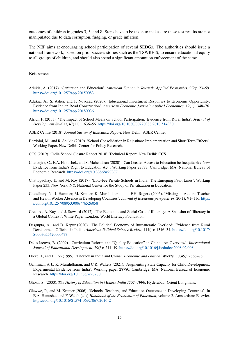outcomes of children in grades 3, 5, and 8. Steps have to be taken to make sure these test results are not manipulated due to data corruption, fudging, or grade inflation.

The NEP aims at encouraging school participation of several SEDGs. The authorities should issue a national framework, based on prior success stories such as the TSWREIS, to ensure educational equity to all groups of children, and should also spend a significant amount on enforcement of the same.

## References

- <span id="page-16-5"></span>Adukia, A. (2017). 'Sanitation and Education'. *American Economic Journal: Applied Economics*, 9(2): 23–59. <https://doi.org/10.1257/app.20150083>
- <span id="page-16-3"></span>Adukia, A., S. Asher, and P. Novosad (2020). 'Educational Investment Responses to Economic Opportunity: Evidence from Indian Road Construction'. *American Economic Journal: Applied Economics*, 12(1): 348–76. <https://doi.org/10.1257/app.20180036>
- <span id="page-16-4"></span>Afridi, F. (2011). 'The Impact of School Meals on School Participation: Evidence from Rural India'. *Journal of Development Studies*, 47(11): 1636–56. <https://doi.org/10.1080/00220388.2010.514330>
- <span id="page-16-9"></span>ASER Centre (2018). *Annual Survey of Education Report*. New Delhi: ASER Centre.
- <span id="page-16-8"></span>Bordoloi, M., and R. Shukla (2019). 'School Consolidation in Rajasthan: Implementation and Short Term Effects'. Working Paper. New Delhi: Center for Policy Research.
- <span id="page-16-6"></span>CCS (2019). 'India School Closure Report 2018'. Technical Report. New Delhi: CCS.
- <span id="page-16-11"></span>Chatterjee, C., E.A. Hanushek, and S. Mahendiran (2020). 'Can Greater Access to Education be Inequitable? New Evidence from India's Right to Education Act'. Working Paper 27377. Cambridge, MA: National Bureau of Economic Research. <https://doi.org/10.3386/w27377>
- <span id="page-16-10"></span>Chattopadhay, T., and M. Roy (2017). 'Low-Fee Private Schools in India: The Emerging Fault Lines'. Working Paper 233. New York, NY: National Center for the Study of Privatization in Education.
- <span id="page-16-15"></span>Chaudhury, N., J. Hammer, M. Kremer, K. Muralidharan, and F.H. Rogers (2006). 'Missing in Action: Teacher and Health Worker Absence in Developing Countries'. *Journal of Economic perspectives*, 20(1): 91–116. [https:](https://doi.org/10.1257/089533006776526058) [//doi.org/10.1257/089533006776526058](https://doi.org/10.1257/089533006776526058)
- <span id="page-16-0"></span>Cree, A., A. Kay, and J. Steward (2012). 'The Economic and Social Cost of Illiteracy: A Snapshot of Illiteracy in a Global Context'. White Paper. London: World Literacy Foundation.
- <span id="page-16-14"></span>Dasgupta, A., and D. Kapur (2020). 'The Political Economy of Bureaucratic Overload: Evidence from Rural Development Officials in India'. *American Political Science Review*, 114(4): 1316–34. [https://doi.org/10.1017/](https://doi.org/10.1017/S0003055420000477) [S0003055420000477](https://doi.org/10.1017/S0003055420000477)
- <span id="page-16-12"></span>Dello-Iacovo, B. (2009). 'Curriculum Reform and "Quality Education" in China: An Overview'. *International Journal of Educational Development*, 29(3): 241–49. <https://doi.org/10.1016/j.ijedudev.2008.02.008>
- <span id="page-16-1"></span>Dreze, J., and J. Loh (1995). 'Literacy in India and China'. *Economic and Political Weekly*, 30(45): 2868–78.
- <span id="page-16-13"></span>Ganimian, A.J., K. Muralidharan, and C.R. Walters (2021). 'Augmenting State Capacity for Child Development: Experimental Evidence from India'. Working paper 28780. Cambridge, MA: National Bureau of Economic Research. <https://doi.org/10.3386/w28780>
- <span id="page-16-2"></span>Ghosh, S. (2000). *The History of Education in Modern India 1757–1998*. Hyderabad: Orient Longmans.
- <span id="page-16-7"></span>Glewwe, P., and M. Kremer (2006). 'Schools, Teachers, and Education Outcomes in Developing Countries'. In E.A. Hanushek and F. Welch (eds),*Handbook of the Economics of Education*, volume 2. Amsterdam: Elsevier. [https://doi.org/10.1016/S1574-0692\(06\)02016-2](https://doi.org/10.1016/S1574-0692(06)02016-2)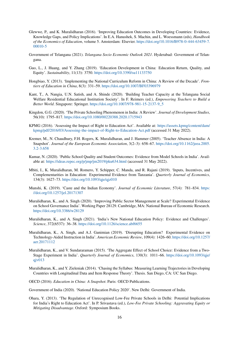- <span id="page-17-2"></span>Glewwe, P., and K. Muralidharan (2016). 'Improving Education Outcomes in Developing Countries: Evidence, Knowledge Gaps, and Policy Implications'. In E.A. Hanushek, S. Machin, and L. Woessmann (eds), *Handbook of the Economics of Education*, volume 5. Amsterdam: Elsevier. [https://doi.org/10.1016/B978-0-444-63459-7.](https://doi.org/10.1016/B978-0-444-63459-7.00010-5) [00010-5](https://doi.org/10.1016/B978-0-444-63459-7.00010-5)
- <span id="page-17-6"></span>Government of Telangana (2021). *Telangana Socio Economic Outlook 2021*. Hyderabad: Government of Telangana.
- <span id="page-17-11"></span>Guo, L., J. Huang, and Y. Zhang (2019). 'Education Development in China: Education Return, Quality, and Equity'. *Sustainability*, 11(13): 3750. <https://doi.org/10.3390/su11133750>
- <span id="page-17-10"></span>Hongbiao, Y. (2013). 'Implementing the National Curriculum Reform in China: A Review of the Decade'. *Frontiers of Education in China*, 8(3): 331–59. <https://doi.org/10.1007/BF03396979>
- <span id="page-17-18"></span>Kant, T., A. Nangia, U.N. Satish, and A. Shinde (2020). 'Building Teacher Capacity at the Telangana Social Welfare Residential Educational Institution Society'. In F. Reimers (ed.), *Empowering Teachers to Build a Better World*. Singapore: Springer. [https://doi.org/10.1007/978-981-15-2137-9\\_5](https://doi.org/10.1007/978-981-15-2137-9_5)
- <span id="page-17-4"></span>Kingdon, G.G. (2020). 'The Private Schooling Phenomenon in India: A Review'. *Journal of Development Studies*, 56(10): 1795–817. <https://doi.org/10.1080/00220388.2020.1715943>
- <span id="page-17-3"></span>KPMG (2016). 'Assessing the Impact of Right to Education Act'. Available at: [https://assets.kpmg/content/dam/](https://assets.kpmg/content/dam/kpmg/pdf/2016/03/Assessing-the-impact-of-Right-to-Education-Act.pdf) [kpmg/pdf/2016/03/Assessing-the-impact-of-Right-to-Education-Act.pdf](https://assets.kpmg/content/dam/kpmg/pdf/2016/03/Assessing-the-impact-of-Right-to-Education-Act.pdf) (accessed 31 May 2022).
- <span id="page-17-16"></span>Kremer, M., N. Chaudhury, F.H. Rogers, K. Muralidharan, and J. Hammer (2005). 'Teacher Absence in India: A Snapshot'. *Journal of the European Economic Association*, 3(2–3): 658–67. [https://doi.org/10.1162/jeea.2005.](https://doi.org/10.1162/jeea.2005.3.2-3.658) [3.2-3.658](https://doi.org/10.1162/jeea.2005.3.2-3.658)
- <span id="page-17-13"></span>Kumar, N. (2020). 'Public School Quality and Student Outcomes: Evidence from Model Schools in India'. Available at: <https://ideas.repec.org/p/jmp/jm2019/pku634.html> (accessed 31 May 2022).
- <span id="page-17-17"></span>Mbiti, I., K. Muralidharan, M. Romero, Y. Schipper, C. Manda, and R. Rajani (2019). 'Inputs, Incentives, and Complementarities in Education: Experimental Evidence from Tanzania'. *Quarterly Journal of Economics*, 134(3): 1627–73. <https://doi.org/10.1093/qje/qjz010>
- <span id="page-17-5"></span>Munshi, K. (2019). 'Caste and the Indian Economy'. *Journal of Economic Literature*, 57(4): 781–834. [https:](https://doi.org/10.1257/jel.20171307) [//doi.org/10.1257/jel.20171307](https://doi.org/10.1257/jel.20171307)
- <span id="page-17-14"></span>Muralidharan, K., and A. Singh (2020). 'Improving Public Sector Management at Scale? Experimental Evidence on School Governance India'. Working Paper 28129. Cambridge, MA: National Bureau of Economic Research. <https://doi.org/10.3386/w28129>
- <span id="page-17-15"></span>Muralidharan, K., and A. Singh (2021). 'India's New National Education Policy: Evidence and Challenges'. *Science*, 372(6537): 36–38. <https://doi.org/10.1126/science.abf6655>
- <span id="page-17-0"></span>Muralidharan, K., A. Singh, and A.J. Ganimian (2019). 'Disrupting Education? Experimental Evidence on Technology-Aided Instruction in India'. *American Economic Review*, 109(4): 1426–60. [https://doi.org/10.1257/](https://doi.org/10.1257/aer.20171112) [aer.20171112](https://doi.org/10.1257/aer.20171112)
- <span id="page-17-8"></span>Muralidharan, K., and V. Sundararaman (2015). 'The Aggregate Effect of School Choice: Evidence from a Two-Stage Experiment in India'. *Quarterly Journal of Economics*, 130(3): 1011–66. [https://doi.org/10.1093/qje/](https://doi.org/10.1093/qje/qjv013) [qjv013](https://doi.org/10.1093/qje/qjv013)
- <span id="page-17-7"></span>Muralidharan, K., and Y. Zieleniak (2014). 'Chasing the Syllabus: Measuring Learning Trajectories in Developing Countries with Longitudinal Data and Item Response Theory'. Thesis. San Diego, CA: UC San Diego.
- <span id="page-17-9"></span>OECD (2016). *Education in China: A Snapshot*. Paris: OECD Publications.

<span id="page-17-12"></span>Government of India (2020). 'National Education Policy 2020'. New Delhi: Government of India.

<span id="page-17-1"></span>Ohara, Y. (2013). 'The Regulation of Unrecognised Low-Fee Private Schools in Delhi: Potential Implications for India's Right to Education Act'. In P. Srivastava (ed.), *Low-Fee Private Schooling: Aggravating Equity or Mitigating Disadvantage*. Oxford: Symposium Books.